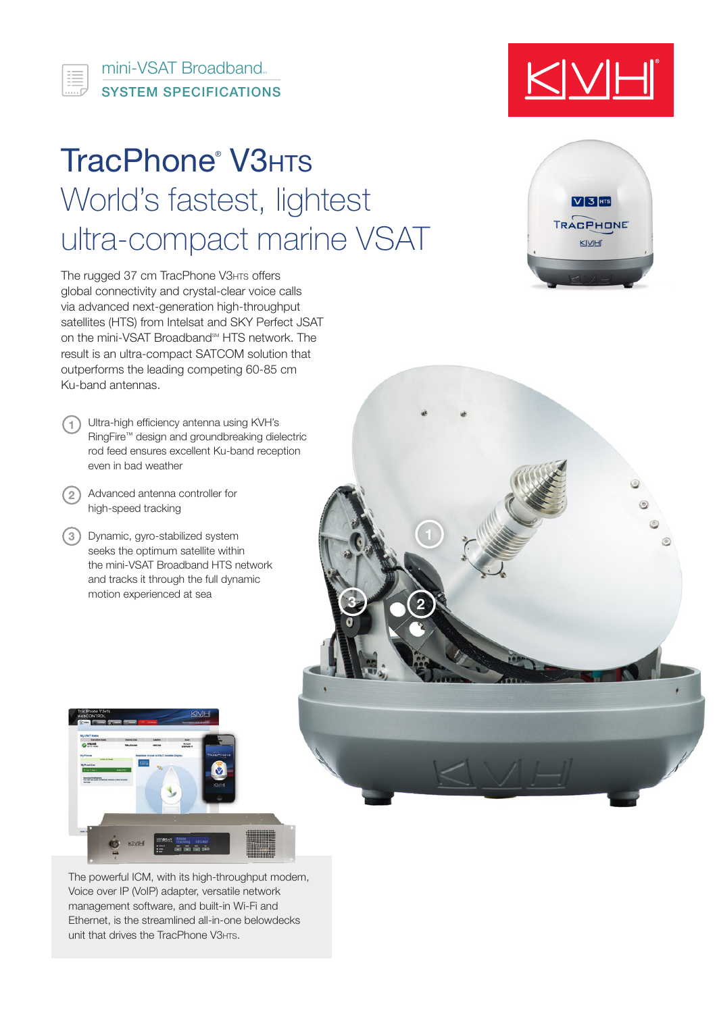SYSTEM SPECIFICATIONS mini-VSAT Broadband

這

# TracPhone<sup>®</sup> V3HTS World's fastest, lightest ultra-compact marine VSAT

The rugged 37 cm TracPhone V3HTs offers global connectivity and crystal-clear voice calls via advanced next-generation high-throughput satellites (HTS) from Intelsat and SKY Perfect JSAT on the mini-VSAT Broadband<sup>SM</sup> HTS network. The result is an ultra-compact SATCOM solution that outperforms the leading competing 60-85 cm Ku-band antennas.

- Ultra-high efficiency antenna using KVH's **1** RingFire™ design and groundbreaking dielectric rod feed ensures excellent Ku-band reception even in bad weather
- Advanced antenna controller for **2** high-speed tracking
- Dynamic, gyro-stabilized system **3** seeks the optimum satellite within the mini-VSAT Broadband HTS network and tracks it through the full dynamic motion experienced at sea



The powerful ICM, with its high-throughput modem, Voice over IP (VoIP) adapter, versatile network management software, and built-in Wi-Fi and Ethernet, is the streamlined all-in-one belowdecks unit that drives the TracPhone V3HTS.